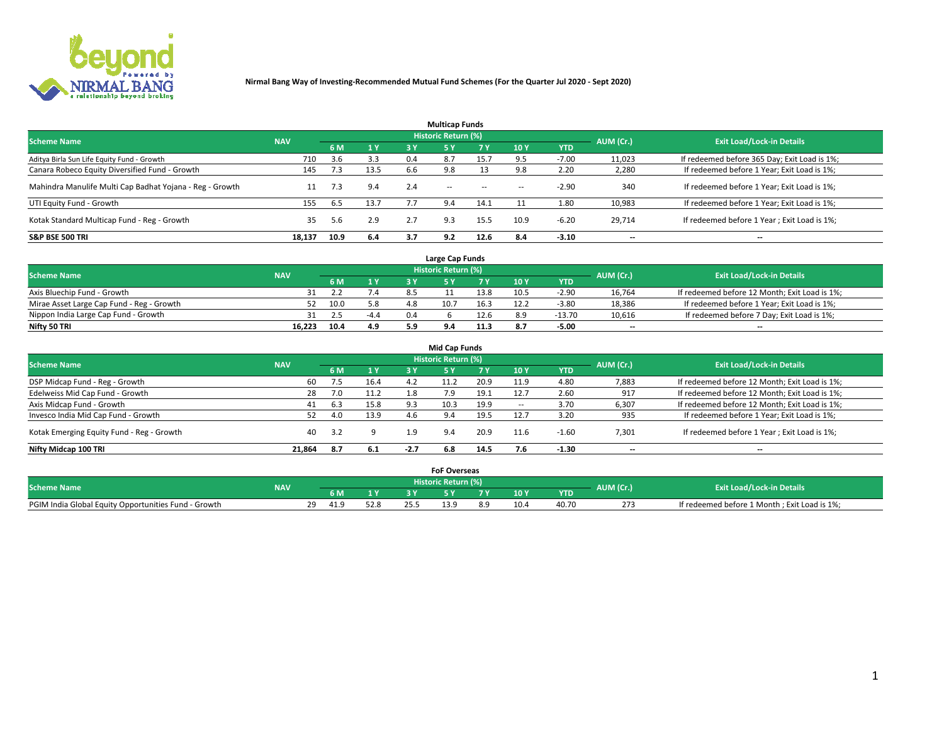

| <b>Multicap Funds</b>                                    |            |      |           |     |                     |           |                          |            |           |                                              |  |  |  |  |
|----------------------------------------------------------|------------|------|-----------|-----|---------------------|-----------|--------------------------|------------|-----------|----------------------------------------------|--|--|--|--|
| <b>Scheme Name</b>                                       | <b>NAV</b> |      |           |     | Historic Return (%) |           |                          |            | AUM (Cr.) | <b>Exit Load/Lock-in Details</b>             |  |  |  |  |
|                                                          |            | 6 M  | <b>1Y</b> | 3 Y | <b>5Y</b>           | <b>7Y</b> | 10Y                      | <b>YTD</b> |           |                                              |  |  |  |  |
| Aditya Birla Sun Life Equity Fund - Growth               | 710        | 3.6  | 3.3       | 0.4 |                     | 15.7      |                          | $-7.00$    | 11,023    | If redeemed before 365 Day; Exit Load is 1%; |  |  |  |  |
| Canara Robeco Equity Diversified Fund - Growth           | 145        | 7.3  | 13.5      | 6.6 | 9.8                 |           |                          | 2.20       | 2,280     | If redeemed before 1 Year; Exit Load is 1%;  |  |  |  |  |
| Mahindra Manulife Multi Cap Badhat Yojana - Reg - Growth | 11         | 7.3  | 9.4       | 2.4 | $\sim$ $-$          | $\sim$    | $\overline{\phantom{a}}$ | $-2.90$    | 340       | If redeemed before 1 Year; Exit Load is 1%;  |  |  |  |  |
| UTI Equity Fund - Growth                                 | 155        | 6.5  | 13.7      |     | 9.4                 | 14.1      |                          | 1.80       | 10,983    | If redeemed before 1 Year; Exit Load is 1%;  |  |  |  |  |
| Kotak Standard Multicap Fund - Reg - Growth              | 35         | 5.6  | 2.9       | 2.7 | 9.3                 | 15.5      | 10.9                     | $-6.20$    | 29.714    | If redeemed before 1 Year; Exit Load is 1%;  |  |  |  |  |
| <b>S&amp;P BSE 500 TRI</b>                               | 18.137     | 10.9 | 6.4       | 3.7 | 9.2                 | 12.6      | 8.4                      | $-3.10$    | --        | $- -$                                        |  |  |  |  |

|                                           |            |                                  |                |     | Large Cap Funds |      |      |            |                          |                                               |
|-------------------------------------------|------------|----------------------------------|----------------|-----|-----------------|------|------|------------|--------------------------|-----------------------------------------------|
| <b>Scheme Name</b>                        | AUM (Cr.)  | <b>Exit Load/Lock-in Details</b> |                |     |                 |      |      |            |                          |                                               |
|                                           | <b>NAV</b> | 6 M                              | 4 <sub>Y</sub> |     |                 |      | 10 Y | <b>YTD</b> |                          |                                               |
| Axis Bluechip Fund - Growth               |            |                                  |                |     |                 | 13.8 | 10.5 | $-2.9C$    | 16,764                   | If redeemed before 12 Month; Exit Load is 1%; |
| Mirae Asset Large Cap Fund - Reg - Growth | 52.        | 10.0                             | 5.8            | 4.8 | 10.7            | 16.3 | 12.2 | $-3.80$    | 18,386                   | If redeemed before 1 Year; Exit Load is 1%;   |
| Nippon India Large Cap Fund - Growth      |            | د. ً                             | $-4.4$         | 0.4 |                 | 12.6 |      | $-13.70$   | 10,616                   | If redeemed before 7 Day; Exit Load is 1%;    |
| Nifty 50 TRI                              | 16.223     | 10.4                             | 4.9            |     |                 | 11.3 |      | $-5.00$    | $\overline{\phantom{a}}$ | $- -$                                         |

| <b>Mid Cap Funds</b>                      |            |     |      |        |                            |           |                          |            |                          |                                               |  |  |  |
|-------------------------------------------|------------|-----|------|--------|----------------------------|-----------|--------------------------|------------|--------------------------|-----------------------------------------------|--|--|--|
| <b>Scheme Name</b>                        | <b>NAV</b> |     |      |        | <b>Historic Return (%)</b> |           |                          |            | AUM (Cr.)                | <b>Exit Load/Lock-in Details</b>              |  |  |  |
|                                           |            | 6 M | 1 Y  | 3 Y    |                            | <b>7Y</b> | 10Y                      | <b>YTD</b> |                          |                                               |  |  |  |
| DSP Midcap Fund - Reg - Growth            | 60         | 7.5 | 16.4 | 4.2    |                            | 20.9      | 11.9                     | 4.80       | 7,883                    | If redeemed before 12 Month; Exit Load is 1%; |  |  |  |
| Edelweiss Mid Cap Fund - Growth           | 28         | 7.0 | 11.2 | 1.8    | 7.9                        | 19.1      | 12.7                     | 2.60       | 917                      | If redeemed before 12 Month; Exit Load is 1%; |  |  |  |
| Axis Midcap Fund - Growth                 | 41         | 6.3 | 15.8 | 9.3    | 10.3                       | 19.9      | $\overline{\phantom{a}}$ | 3.70       | 6,307                    | If redeemed before 12 Month; Exit Load is 1%; |  |  |  |
| Invesco India Mid Cap Fund - Growth       |            | 4.0 | 13.9 |        | 9.4                        | 19.5      | 12.7                     | 3.20       | 935                      | If redeemed before 1 Year; Exit Load is 1%;   |  |  |  |
| Kotak Emerging Equity Fund - Reg - Growth | 40         | 3.2 |      | 1.9    | 9.4                        | 20.9      | 11.6                     | $-1.60$    | 7,301                    | If redeemed before 1 Year; Exit Load is 1%;   |  |  |  |
| Nifty Midcap 100 TRI                      | 21.864     | 8.7 | 6.1  | $-2.7$ | 6.8                        | 14.5      |                          | $-1.30$    | $\overline{\phantom{a}}$ | $- -$                                         |  |  |  |

|                                                      |            |     |      | <b>FoF Overseas</b> |      |            |           |                                              |
|------------------------------------------------------|------------|-----|------|---------------------|------|------------|-----------|----------------------------------------------|
| <b>Scheme Name</b>                                   | <b>NAV</b> |     |      | Historic Return (%) |      |            | AUM (Cr.) | <b>Exit Load/Lock-in Details</b>             |
|                                                      |            | 6 M | 1Y   |                     | 10 Y | <b>YTD</b> |           |                                              |
| PGIM India Global Equity Opportunities Fund - Growth |            |     | 52.8 |                     |      | 40.70      | 273       | If redeemed before 1 Month; Exit Load is 1%; |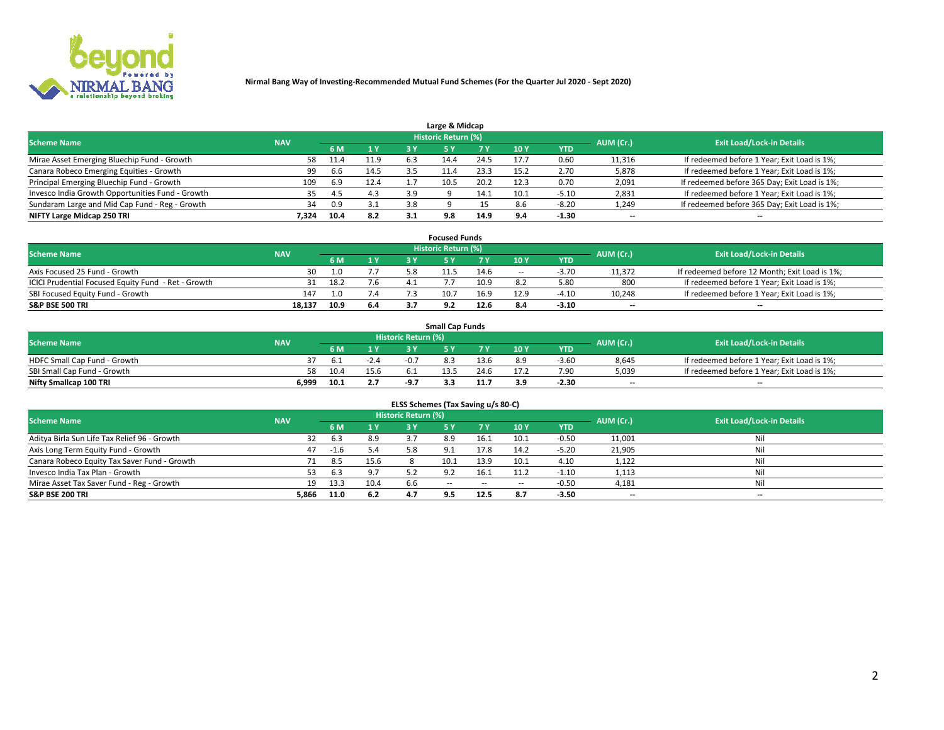

|                                                  |            |      |      |     | Large & Midcap             |      |      |         |                          |                                              |
|--------------------------------------------------|------------|------|------|-----|----------------------------|------|------|---------|--------------------------|----------------------------------------------|
| <b>Scheme Name</b>                               | <b>NAV</b> |      |      |     | <b>Historic Return (%)</b> |      |      |         | AUM (Cr.)                | <b>Exit Load/Lock-in Details</b>             |
|                                                  |            | 6 M  | 1Y   | 3 Y |                            | 7 V  | 10Y  | YTD     |                          |                                              |
| Mirae Asset Emerging Bluechip Fund - Growth      | 58         | 11.4 | 11.9 | 6.3 | 14.4                       | 24.5 | 17.7 | 0.60    | 11,316                   | If redeemed before 1 Year; Exit Load is 1%;  |
| Canara Robeco Emerging Equities - Growth         | 99         | 6.6  | 14.5 |     |                            | 23.3 | 15.2 | 2.70    | 5,878                    | If redeemed before 1 Year; Exit Load is 1%;  |
| Principal Emerging Bluechip Fund - Growth        | 109        | o.9  | 12.4 |     | 10.5                       | 20.2 | 12.3 | 0.70    | 2,091                    | If redeemed before 365 Day; Exit Load is 1%; |
| Invesco India Growth Opportunities Fund - Growth |            | 4.5  | 4.3  | 3.9 |                            |      | 10.1 | $-5.10$ | 2,831                    | If redeemed before 1 Year; Exit Load is 1%;  |
| Sundaram Large and Mid Cap Fund - Reg - Growth   | 34         | 0.9  | 3.1  | 3.8 |                            |      | 8.6  | $-8.20$ | 1,249                    | If redeemed before 365 Day; Exit Load is 1%; |
| NIFTY Large Midcap 250 TRI                       | 7.324      | 10.4 | 8.2  |     | 9.8                        | 14.9 |      | -1.30   | $\overline{\phantom{a}}$ | $- -$                                        |

|                                                     |            |      |                | <b>Focused Funds</b> |      |        |            |                          |                                               |
|-----------------------------------------------------|------------|------|----------------|----------------------|------|--------|------------|--------------------------|-----------------------------------------------|
| <b>Scheme Name</b>                                  | <b>NAV</b> |      |                | Historic Return (%)  |      |        |            | AUM (Cr.)                | <b>Exit Load/Lock-in Details</b>              |
|                                                     |            | 6 M  | 1 <sub>V</sub> |                      |      | 10 Y   | <b>YTD</b> |                          |                                               |
| Axis Focused 25 Fund - Growth                       | 30         | 1.0  |                | 11.5                 | 14.6 | $\sim$ | $-3.70$    | 11,372                   | If redeemed before 12 Month; Exit Load is 1%; |
| ICICI Prudential Focused Equity Fund - Ret - Growth |            | 18.2 | 7.6            |                      | 10.9 |        | 5.80       | 800                      | If redeemed before 1 Year; Exit Load is 1%;   |
| SBI Focused Equity Fund - Growth                    | 147        | 1.0  | 7.4            | 10.                  | 16.9 | 12.9   | $-4.10$    | 10,248                   | If redeemed before 1 Year; Exit Load is 1%;   |
| <b>S&amp;P BSE 500 TRI</b>                          | 18,137     | 10.9 | 6.4            |                      | 12.6 |        | $-3.10$    | $\overline{\phantom{a}}$ | $- -$                                         |

| <b>Small Cap Funds</b>       |            |      |        |                     |      |      |                 |            |           |                                             |  |  |
|------------------------------|------------|------|--------|---------------------|------|------|-----------------|------------|-----------|---------------------------------------------|--|--|
| <b>Scheme Name</b>           | <b>NAV</b> |      |        | Historic Return (%) |      |      |                 |            | AUM (Cr.) | <b>Exit Load/Lock-in Details</b>            |  |  |
|                              |            | 6 M  |        |                     |      |      | 10 <sub>Y</sub> | <b>YTD</b> |           |                                             |  |  |
| HDFC Small Cap Fund - Growth |            |      | $-2.4$ | $-0.7$              |      | 13.6 | 8.9             | $-3.60$    | 8,645     | If redeemed before 1 Year; Exit Load is 1%; |  |  |
| SBI Small Cap Fund - Growth  |            | 10.4 | 15.6   | 6.1                 | 13.5 | 24.6 | 17.2            | 7.90       | 5,039     | If redeemed before 1 Year; Exit Load is 1%; |  |  |
| Nifty Smallcap 100 TRI       | 6.999      | 10.1 |        |                     | -    |      | 3.9             | $-2.30$    | $- -$     | $- -$                                       |  |  |

| ELSS Schemes (Tax Saving u/s 80-C)           |            |      |      |                            |            |        |                          |            |                          |                                  |  |  |  |
|----------------------------------------------|------------|------|------|----------------------------|------------|--------|--------------------------|------------|--------------------------|----------------------------------|--|--|--|
| <b>Scheme Name</b>                           | <b>NAV</b> |      |      | <b>Historic Return (%)</b> |            |        |                          |            | AUM (Cr.)                | <b>Exit Load/Lock-in Details</b> |  |  |  |
|                                              |            | 6 M  | 1 Y  | 3 Y                        | <b>5Y</b>  | 7 Y    | 10Y                      | <b>YTD</b> |                          |                                  |  |  |  |
| Aditya Birla Sun Life Tax Relief 96 - Growth | 32         | 6.3  | 8.9  |                            | 8.9        | 16.1   | 10.1                     | $-0.50$    | 11,001                   | Nil                              |  |  |  |
| Axis Long Term Equity Fund - Growth          | 47         | -1.6 | 5.4  | 5.8                        | 9.1        | 17.8   | 14.2                     | $-5.20$    | 21,905                   | Nil                              |  |  |  |
| Canara Robeco Equity Tax Saver Fund - Growth | 71         | 8.5  | 15.6 |                            | 10.1       | 13.9   | 10.1                     | 4.10       | 1,122                    | Nil                              |  |  |  |
| Invesco India Tax Plan - Growth              |            | 6.3  | 9.7  | 5.2                        | 9.2        | 16.1   | 11.2                     | $-1.10$    | 1,113                    | Nil                              |  |  |  |
| Mirae Asset Tax Saver Fund - Reg - Growth    | 19         | 13.3 | 10.4 | 6.6                        | $\sim$ $-$ | $\sim$ | $\overline{\phantom{a}}$ | $-0.50$    | 4,181                    | Nil                              |  |  |  |
| S&P BSE 200 TRI                              | 5,866      | 11.0 | 6.2  |                            | 9.5        | 12.5   | 8.7                      | $-3.50$    | $\overline{\phantom{a}}$ | $- -$                            |  |  |  |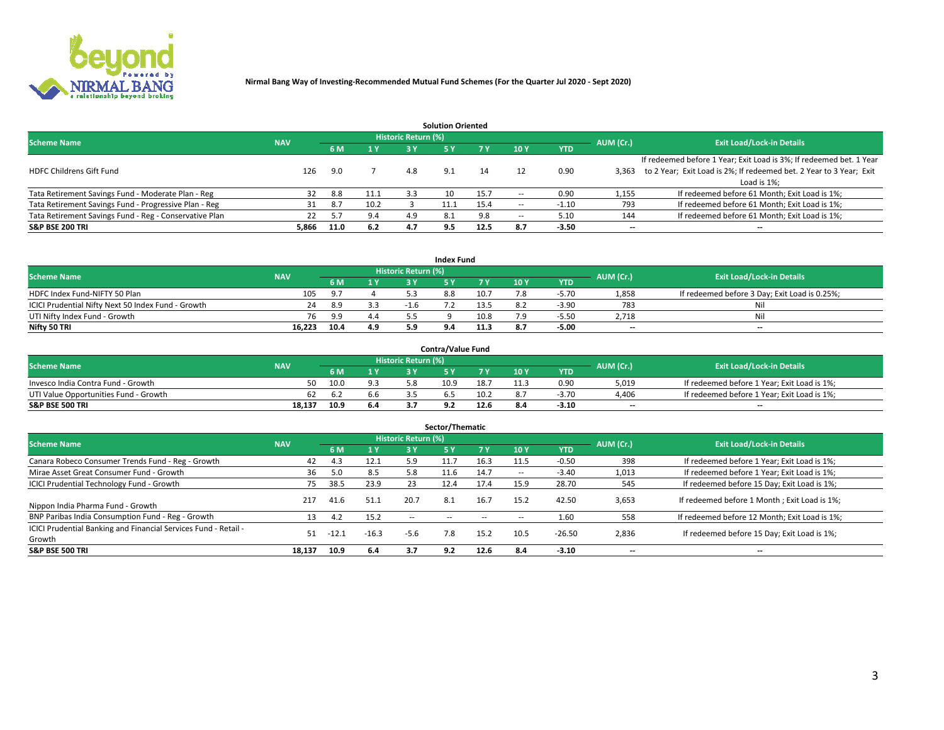

| <b>Solution Oriented</b>                               |            |            |      |                            |     |      |                          |            |                          |                                                                     |  |  |  |  |
|--------------------------------------------------------|------------|------------|------|----------------------------|-----|------|--------------------------|------------|--------------------------|---------------------------------------------------------------------|--|--|--|--|
| <b>Scheme Name</b>                                     | <b>NAV</b> |            |      | <b>Historic Return (%)</b> |     |      |                          |            | AUM (Cr.)                | <b>Exit Load/Lock-in Details</b>                                    |  |  |  |  |
|                                                        |            | <b>6 M</b> | 1 Y  | 73 Y                       |     |      | 10Y                      | <b>YTD</b> |                          |                                                                     |  |  |  |  |
|                                                        |            |            |      |                            |     |      |                          |            |                          | If redeemed before 1 Year; Exit Load is 3%; If redeemed bet. 1 Year |  |  |  |  |
| <b>HDFC Childrens Gift Fund</b>                        | 126        | 9.0        |      | 4.8                        | 9.1 | 14   |                          | 0.90       | 3.363                    | to 2 Year; Exit Load is 2%; If redeemed bet. 2 Year to 3 Year; Exit |  |  |  |  |
|                                                        |            |            |      |                            |     |      |                          |            |                          | Load is 1%;                                                         |  |  |  |  |
| Tata Retirement Savings Fund - Moderate Plan - Reg     | 32         | 8.8        | 11.1 | 3.3                        | 10  | 15.7 | --                       | 0.90       | 1,155                    | If redeemed before 61 Month; Exit Load is 1%;                       |  |  |  |  |
| Tata Retirement Savings Fund - Progressive Plan - Reg  | 31         | 8.7        | 10.2 |                            |     | 15.4 | $\overline{\phantom{a}}$ | $-1.10$    | 793                      | If redeemed before 61 Month; Exit Load is 1%;                       |  |  |  |  |
| Tata Retirement Savings Fund - Reg - Conservative Plan | 22         |            | 9.4  |                            | 8.1 | 9.8  | --                       | 5.10       | 144                      | If redeemed before 61 Month; Exit Load is 1%;                       |  |  |  |  |
| S&P BSE 200 TRI                                        | 5,866      | 11.0       | 6.2  | 4.7                        | 9.5 | 12.5 | 8.7                      | $-3.50$    | $\overline{\phantom{a}}$ | $- -$                                                               |  |  |  |  |

|                                                    |            |            |              |                            | <b>Index Fund</b> |      |      |            |                          |                                               |
|----------------------------------------------------|------------|------------|--------------|----------------------------|-------------------|------|------|------------|--------------------------|-----------------------------------------------|
| <b>Scheme Name</b>                                 | <b>NAV</b> |            |              | <b>Historic Return (%)</b> |                   |      |      |            | AUM (Cr.)                | <b>Exit Load/Lock-in Details</b>              |
|                                                    |            |            | $\sqrt{1}$ Y | 2 V                        |                   | 7 V  | 10 Y | <b>YTD</b> |                          |                                               |
| HDFC Index Fund-NIFTY 50 Plan                      | 105        | <b>Q</b> 7 |              |                            | 8.8               | 10.7 |      | $-5.70$    | 1,858                    | If redeemed before 3 Day; Exit Load is 0.25%; |
| ICICI Prudential Nifty Next 50 Index Fund - Growth | 24         | 8.9        |              | $-1.6$                     |                   | 13.5 |      | $-3.90$    | 783                      | Nil                                           |
| UTI Nifty Index Fund - Growth                      | 76         | 9.9        | 4.4          |                            |                   | 10.8 |      | $-5.5C$    | 2,718                    | Nil                                           |
| Nifty 50 TRI                                       | 16.223     | 10.4       | 4.9          |                            |                   | 11.? |      | $-5.00$    | $\overline{\phantom{a}}$ | $- -$                                         |

|                                       |            |      |                   |                            | <b>Contra/Value Fund</b> |      |     |            |                          |                                             |
|---------------------------------------|------------|------|-------------------|----------------------------|--------------------------|------|-----|------------|--------------------------|---------------------------------------------|
| <b>Scheme Name</b>                    | <b>NAV</b> |      |                   | <b>Historic Return (%)</b> |                          |      |     |            | AUM (Cr.)                | <b>Exit Load/Lock-in Details</b>            |
|                                       |            |      | $\sim$ $\sqrt{ }$ |                            |                          | 7 V  | 10Y | <b>YTD</b> |                          |                                             |
| Invesco India Contra Fund - Growth    | 50         | 10.0 |                   |                            | 10.9                     | 18.7 |     | 0.90       | 5,019                    | If redeemed before 1 Year; Exit Load is 1%; |
| UTI Value Opportunities Fund - Growth | 62         |      | b.b               |                            |                          | 10.2 |     | $-3.70$    | 4,406                    | If redeemed before 1 Year; Exit Load is 1%; |
| <b>S&amp;P BSE 500 TRI</b>            | 18.137     | 10.9 | 6.4               |                            |                          | 12.6 |     | $-3.10$    | $\overline{\phantom{a}}$ | $- -$                                       |

| Sector/Thematic                                                           |            |         |                |                     |            |        |                          |            |           |                                               |  |  |  |
|---------------------------------------------------------------------------|------------|---------|----------------|---------------------|------------|--------|--------------------------|------------|-----------|-----------------------------------------------|--|--|--|
| <b>Scheme Name</b>                                                        | <b>NAV</b> |         |                | Historic Return (%) |            |        |                          |            | AUM (Cr.) | <b>Exit Load/Lock-in Details</b>              |  |  |  |
|                                                                           |            | 6 M     | 1 <sub>Y</sub> | 3 Y                 | <b>5Y</b>  | 7 Y    | 10Y                      | <b>YTD</b> |           |                                               |  |  |  |
| Canara Robeco Consumer Trends Fund - Reg - Growth                         | 42         | 4.3     | 12.1           | 5.9                 | 11.7       | 16.3   | 11.5                     | $-0.50$    | 398       | If redeemed before 1 Year; Exit Load is 1%;   |  |  |  |
| Mirae Asset Great Consumer Fund - Growth                                  | 36         | 5.0     | 8.5            | 5.8                 | 11.b       | 14.7   | $\overline{\phantom{a}}$ | $-3.40$    | 1,013     | If redeemed before 1 Year; Exit Load is 1%;   |  |  |  |
| <b>ICICI Prudential Technology Fund - Growth</b>                          | 75.        | 38.5    | 23.9           | 23                  | 12.4       | 17.4   | 15.9                     | 28.70      | 545       | If redeemed before 15 Day; Exit Load is 1%;   |  |  |  |
| Nippon India Pharma Fund - Growth                                         | 217        | 41.6    | 51.1           | 20.7                | 8.1        | 16.7   | 15.2                     | 42.50      | 3,653     | If redeemed before 1 Month; Exit Load is 1%;  |  |  |  |
| BNP Paribas India Consumption Fund - Reg - Growth                         | 13         | 4.2     | 15.2           | $\sim$ $\sim$       | $\sim$ $-$ | $\sim$ | $\sim$                   | 1.60       | 558       | If redeemed before 12 Month; Exit Load is 1%; |  |  |  |
| ICICI Prudential Banking and Financial Services Fund - Retail -<br>Growth | 51         | $-12.1$ | $-16.3$        | $-5.6$              | 7.8        | 15.2   | 10.5                     | $-26.50$   | 2,836     | If redeemed before 15 Day; Exit Load is 1%;   |  |  |  |
| <b>S&amp;P BSE 500 TRI</b>                                                | 18.137     | 10.9    | 6.4            | 3.7                 | 9.2        | 12.6   | 8.4                      | $-3.10$    | --        | $- -$                                         |  |  |  |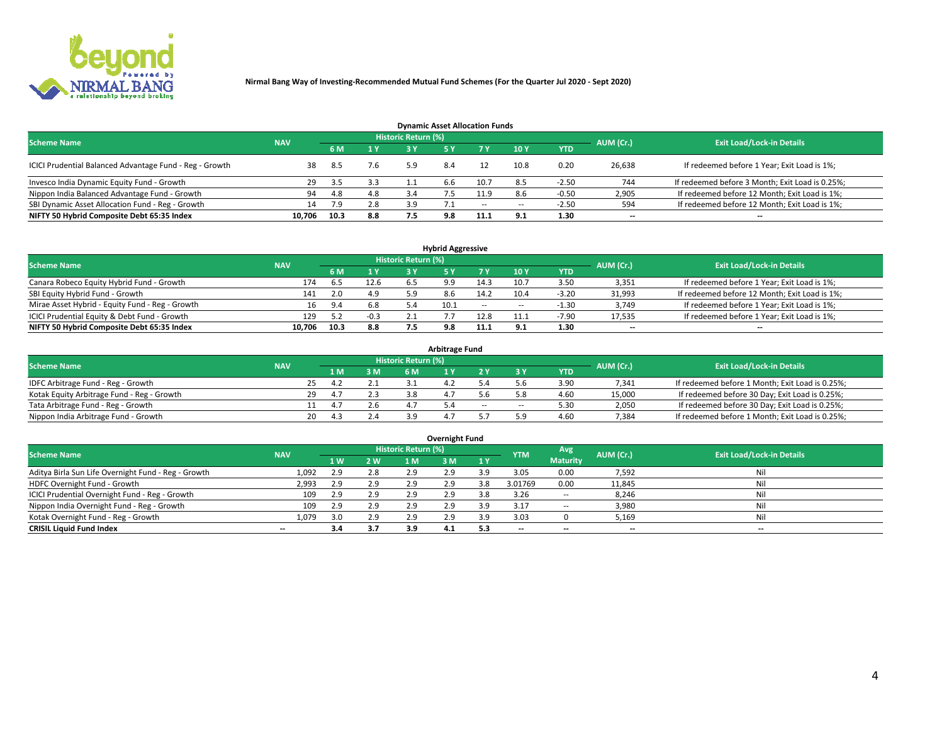

| <b>Dynamic Asset Allocation Funds</b>                   |            |      |     |                            |     |        |                          |            |           |                                                 |  |  |  |  |
|---------------------------------------------------------|------------|------|-----|----------------------------|-----|--------|--------------------------|------------|-----------|-------------------------------------------------|--|--|--|--|
| <b>Scheme Name</b>                                      | <b>NAV</b> |      |     | <b>Historic Return (%)</b> |     |        |                          |            | AUM (Cr.) | <b>Exit Load/Lock-in Details</b>                |  |  |  |  |
|                                                         |            | 6 M  | 1 Y |                            |     |        | $-10Y$                   | <b>YTD</b> |           |                                                 |  |  |  |  |
| ICICI Prudential Balanced Advantage Fund - Reg - Growth |            | -8.5 | 7.6 | 5.9                        | 8.4 |        | 10.8                     | 0.20       | 26,638    | If redeemed before 1 Year; Exit Load is 1%;     |  |  |  |  |
| Invesco India Dynamic Equity Fund - Growth              | 29         | -3.5 | 3.3 |                            | b.b | 10.7   | 8.5                      | $-2.50$    | 744       | If redeemed before 3 Month; Exit Load is 0.25%; |  |  |  |  |
| Nippon India Balanced Advantage Fund - Growth           | 94         | 4.8  | 4.8 | 3.4                        |     | 11.9   | 8.6                      | $-0.50$    | 2,905     | If redeemed before 12 Month; Exit Load is 1%;   |  |  |  |  |
| SBI Dynamic Asset Allocation Fund - Reg - Growth        | 14         | 7.9  | 2.8 | 3.9                        |     | $\sim$ | $\overline{\phantom{a}}$ | $-2.50$    | 594       | If redeemed before 12 Month; Exit Load is 1%;   |  |  |  |  |
| NIFTY 50 Hybrid Composite Debt 65:35 Index              | 10.706     | 10.3 | 8.8 | 7.5                        | 9.8 | 11.1   | 9.1                      | 1.30       | $- -$     | $- -$                                           |  |  |  |  |

| <b>Hybrid Aggressive</b>                        |            |      |        |                     |            |            |                          |            |                          |                                               |  |  |  |  |
|-------------------------------------------------|------------|------|--------|---------------------|------------|------------|--------------------------|------------|--------------------------|-----------------------------------------------|--|--|--|--|
| <b>Scheme Name</b>                              | <b>NAV</b> |      |        | Historic Return (%) |            |            |                          |            | AUM (Cr.)                | <b>Exit Load/Lock-in Details</b>              |  |  |  |  |
|                                                 |            | 6 M  | 1 Y    | RУ                  |            |            | 10Y                      | <b>YTD</b> |                          |                                               |  |  |  |  |
| Canara Robeco Equity Hybrid Fund - Growth       | 174        | 6.5  | 12.6   |                     | $^{\circ}$ | 14.3       | 10.7                     | 3.50       | 3,351                    | If redeemed before 1 Year; Exit Load is 1%;   |  |  |  |  |
| SBI Equity Hybrid Fund - Growth                 | 141        | 2.0  | 4.9    |                     |            | 14.2       | 10.4                     | $-3.20$    | 31,993                   | If redeemed before 12 Month; Exit Load is 1%; |  |  |  |  |
| Mirae Asset Hybrid - Equity Fund - Reg - Growth | 16         | 9.4  | 6.8    |                     | 10.1       | $\sim$ $-$ | $\overline{\phantom{a}}$ | $-1.30$    | 3,749                    | If redeemed before 1 Year; Exit Load is 1%;   |  |  |  |  |
| ICICI Prudential Equity & Debt Fund - Growth    | 129        |      | $-0.3$ |                     |            | 12.8       | 11.1                     | $-7.90$    | 17,535                   | If redeemed before 1 Year; Exit Load is 1%;   |  |  |  |  |
| NIFTY 50 Hybrid Composite Debt 65:35 Index      | 10.706     | 10.3 | 8.8    |                     | 9.8        |            |                          | 1.30       | $\overline{\phantom{a}}$ | $- -$                                         |  |  |  |  |

| <b>Arbitrage Fund</b>                      |            |    |           |                     |  |        |        |            |           |                                                 |  |  |  |  |
|--------------------------------------------|------------|----|-----------|---------------------|--|--------|--------|------------|-----------|-------------------------------------------------|--|--|--|--|
| <b>Scheme Name</b>                         | <b>NAV</b> |    |           | Historic Return (%) |  |        |        |            | AUM (Cr.) | <b>Exit Load/Lock-in Details</b>                |  |  |  |  |
|                                            |            | LΜ | 3 M       | <b>6M</b>           |  |        |        | <b>YTD</b> |           |                                                 |  |  |  |  |
| IDFC Arbitrage Fund - Reg - Growth         |            | 25 |           |                     |  |        |        | 3.90       | 7,341     | If redeemed before 1 Month; Exit Load is 0.25%; |  |  |  |  |
| Kotak Equity Arbitrage Fund - Reg - Growth |            | 29 | 2.3       |                     |  |        |        | 4.60       | 15,000    | If redeemed before 30 Day; Exit Load is 0.25%;  |  |  |  |  |
| Tata Arbitrage Fund - Reg - Growth         |            |    |           |                     |  | $\sim$ | $\sim$ | 5.30       | 2,050     | If redeemed before 30 Day; Exit Load is 0.25%;  |  |  |  |  |
| Nippon India Arbitrage Fund - Growth       | 20         | 43 | $\sim$ .4 | 2 Q                 |  |        | ິດ     | 4.60       | 7,384     | If redeemed before 1 Month; Exit Load is 0.25%; |  |  |  |  |

| Overnight Fund                                      |            |     |            |                     |     |      |            |                 |                          |                                  |  |  |  |  |
|-----------------------------------------------------|------------|-----|------------|---------------------|-----|------|------------|-----------------|--------------------------|----------------------------------|--|--|--|--|
| <b>Scheme Name</b>                                  | <b>NAV</b> |     |            | Historic Return (%) |     |      | <b>YTM</b> | Avg.            | AUM (Cr.)                | <b>Exit Load/Lock-in Details</b> |  |  |  |  |
|                                                     |            | 1W  | <b>2 W</b> | 1 M                 | гм  | -1 Y |            | <b>Maturity</b> |                          |                                  |  |  |  |  |
| Aditya Birla Sun Life Overnight Fund - Reg - Growth | 1,092      | 2.9 | 2.8        | 2.9                 | 2.9 |      | 3.05       | 0.00            | 7,592                    | Nil                              |  |  |  |  |
| HDFC Overnight Fund - Growth                        | 2,993      | 2.9 | 2.9        | 2.9                 | 2.9 | 3.8  | 3.01769    | 0.00            | 11,845                   | Nil                              |  |  |  |  |
| ICICI Prudential Overnight Fund - Reg - Growth      | 109        | 2.9 | 2.9        | 2.9                 | 2.9 | 3.8  | 3.26       | $\sim$ $-$      | 8,246                    | Nil                              |  |  |  |  |
| Nippon India Overnight Fund - Reg - Growth          | 109        | 2.9 | 2.9        | 2.9                 | 2.9 |      | $3.1^{-}$  | $\sim$ $-$      | 3,980                    | Nil                              |  |  |  |  |
| Kotak Overnight Fund - Reg - Growth                 | 1.079      | 3.0 | 2.9        | 2.9                 | 2.9 | 3.9  | 3.03       |                 | 5,169                    | Nil                              |  |  |  |  |
| <b>CRISIL Liquid Fund Index</b>                     | $- -$      | 3.4 | 3.7        | 3.9                 | 4.1 | 5.3  | --         | $- -$           | $\overline{\phantom{a}}$ | $- -$                            |  |  |  |  |

### **Overnight Fund**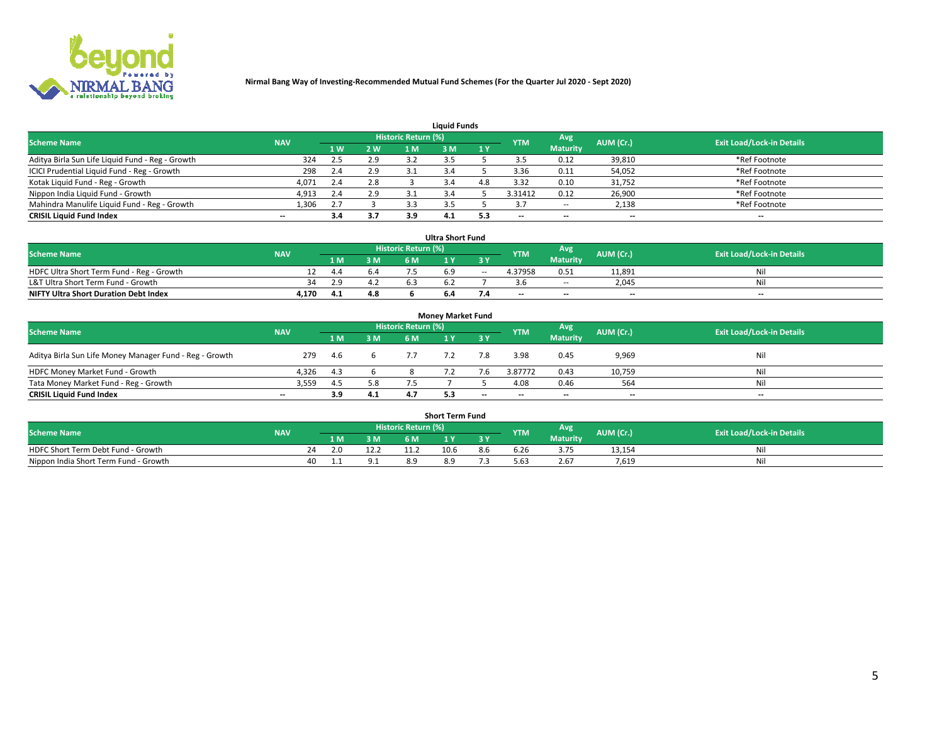

| <b>Liauid Funds</b>                              |            |                |     |                            |     |     |            |                 |           |                                  |  |  |  |  |
|--------------------------------------------------|------------|----------------|-----|----------------------------|-----|-----|------------|-----------------|-----------|----------------------------------|--|--|--|--|
| <b>Scheme Name</b>                               | <b>NAV</b> |                |     | <b>Historic Return (%)</b> |     |     | <b>YTM</b> | Avg             | AUM (Cr.) | <b>Exit Load/Lock-in Details</b> |  |  |  |  |
|                                                  |            | 1 <sub>W</sub> | 2 W | '1 M                       | : M | 1Y  |            | <b>Maturity</b> |           |                                  |  |  |  |  |
| Aditya Birla Sun Life Liquid Fund - Reg - Growth | 324        | 2.5            | 2.9 |                            |     |     |            | 0.12            | 39,810    | *Ref Footnote                    |  |  |  |  |
| ICICI Prudential Liquid Fund - Reg - Growth      | 298        | 2.4            | 2.9 |                            |     |     | 3.36       | 0.11            | 54,052    | *Ref Footnote                    |  |  |  |  |
| Kotak Liquid Fund - Reg - Growth                 | 4,071      | 2.4            | 2.8 |                            |     |     | 3.32       | 0.10            | 31,752    | *Ref Footnote                    |  |  |  |  |
| Nippon India Liquid Fund - Growth                | 4,913      | 2.4            | 2.9 |                            |     |     | 3.31412    | 0.12            | 26,900    | *Ref Footnote                    |  |  |  |  |
| Mahindra Manulife Liquid Fund - Reg - Growth     | 1,306      |                |     |                            |     |     |            | $\sim$ $-$      | 2,138     | *Ref Footnote                    |  |  |  |  |
| <b>CRISIL Liquid Fund Index</b>                  | $- -$      | 3.4            | 3.7 |                            | 4.1 | 5.3 | $- -$      | $- -$           | --        | $- -$                            |  |  |  |  |

| <b>Ultra Short Fund</b>                      |            |     |     |                            |  |        |            |                 |           |                                  |  |  |  |
|----------------------------------------------|------------|-----|-----|----------------------------|--|--------|------------|-----------------|-----------|----------------------------------|--|--|--|
| <b>Scheme Name</b>                           | <b>NAV</b> |     |     | <b>Historic Return (%)</b> |  |        | <b>YTM</b> | Avg             | AUM (Cr.) | <b>Exit Load/Lock-in Details</b> |  |  |  |
|                                              |            | 1 M | 3M  | 6 M                        |  |        |            | <b>Maturity</b> |           |                                  |  |  |  |
| HDFC Ultra Short Term Fund - Reg - Growth    |            | 4.4 |     |                            |  | $\sim$ | 4.37958    | 0.51            | 11.891    | Ni                               |  |  |  |
| L&T Ultra Short Term Fund - Growth           |            | 2.9 |     | 6.3                        |  |        |            | $\sim$ $-$      | 2.045     | Nil                              |  |  |  |
| <b>NIFTY Ultra Short Duration Debt Index</b> | 4,170      | 4.1 | 4.8 |                            |  |        | $-$        | $- -$           | $-$       | $-$                              |  |  |  |

| <b>Money Market Fund</b>                                |            |     |     |                     |  |       |                          |                 |                          |                                  |  |  |  |  |
|---------------------------------------------------------|------------|-----|-----|---------------------|--|-------|--------------------------|-----------------|--------------------------|----------------------------------|--|--|--|--|
| <b>Scheme Name</b>                                      | <b>NAV</b> |     |     | Historic Return (%) |  |       | <b>YTM</b>               | Avg             | AUM (Cr.)                | <b>Exit Load/Lock-in Details</b> |  |  |  |  |
|                                                         |            | 1 M | 3 M | 6 M                 |  | 3 Y   |                          | <b>Maturity</b> |                          |                                  |  |  |  |  |
| Aditya Birla Sun Life Money Manager Fund - Reg - Growth | 279        | 4.6 |     | 7.7                 |  | 7.8   | 3.98                     | 0.45            | 9,969                    | Nil                              |  |  |  |  |
| HDFC Money Market Fund - Growth                         | 4,326      | 4.3 |     |                     |  |       | 3.87772                  | 0.43            | 10,759                   | Nil                              |  |  |  |  |
| Tata Money Market Fund - Reg - Growth                   | 3,559      | 4.5 | 5.8 |                     |  |       | 4.08                     | 0.46            | 564                      | Nil                              |  |  |  |  |
| <b>CRISIL Liquid Fund Index</b>                         | $- -$      | 3.9 | 4.1 |                     |  | $- -$ | $\overline{\phantom{a}}$ | $- -$           | $\overline{\phantom{a}}$ | $\overline{\phantom{a}}$         |  |  |  |  |

|                                       |            |       |     |                     | <b>Short Term Fund</b> |     |       |                 |           |                                  |
|---------------------------------------|------------|-------|-----|---------------------|------------------------|-----|-------|-----------------|-----------|----------------------------------|
| <b>Scheme Name</b>                    | <b>NAV</b> |       |     | Historic Return (%) |                        |     | YTM   | Avg             | AUM (Cr.) | <b>Exit Load/Lock-in Details</b> |
|                                       |            | 1 M . | 3 M | 6 M                 | l M                    | 2V  |       | <b>Maturity</b> |           |                                  |
| HDFC Short Term Debt Fund - Growth    | 24         |       |     |                     | 10.6                   | 8.b | 6.Zb  |                 | 13,154    | M                                |
| Nippon India Short Term Fund - Growth | 40         |       |     | 8.9                 |                        |     | .63 د | 2.67            | 7.619     | N                                |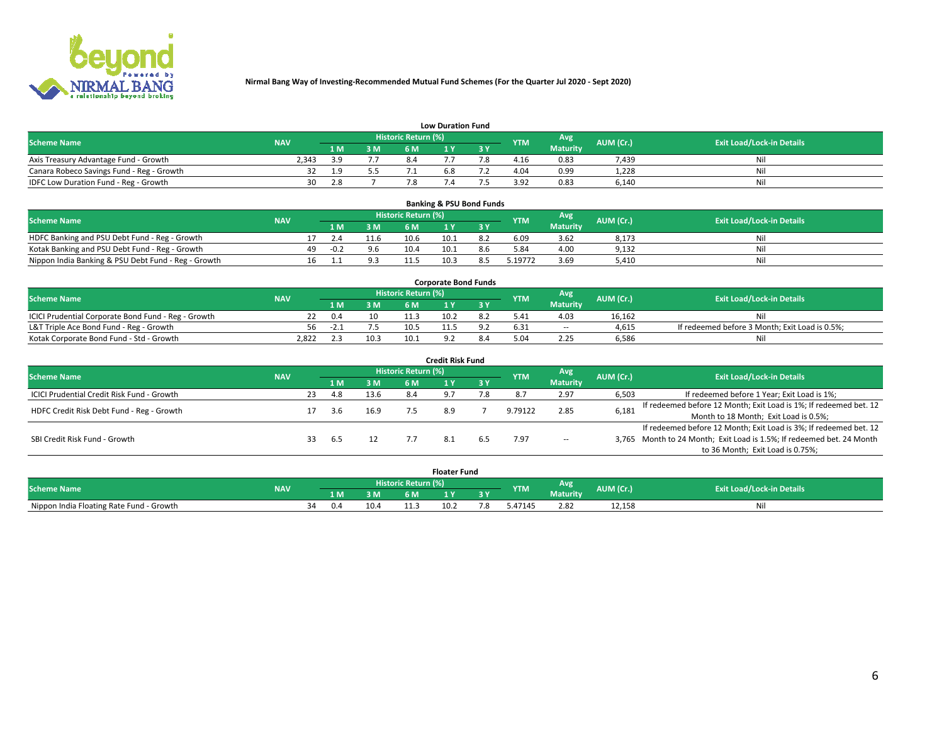

|                                           | <b>Low Duration Fund</b> |      |     |                     |     |     |            |                 |           |                                  |  |  |  |  |  |
|-------------------------------------------|--------------------------|------|-----|---------------------|-----|-----|------------|-----------------|-----------|----------------------------------|--|--|--|--|--|
| <b>Scheme Name</b>                        | <b>NAV</b>               |      |     | Historic Return (%) |     |     | <b>YTM</b> | <b>Avg</b>      | AUM (Cr.) | <b>Exit Load/Lock-in Details</b> |  |  |  |  |  |
|                                           |                          | 1 M. | 3 M | 6 M                 |     | 2 V |            | <b>Maturity</b> |           |                                  |  |  |  |  |  |
| Axis Treasury Advantage Fund - Growth     | 2.343                    | 3 O  |     |                     |     |     | 4.16       | 0.83            | 7,439     | Nil                              |  |  |  |  |  |
| Canara Robeco Savings Fund - Reg - Growth |                          | 1.9  |     |                     | b.ö |     | 4.04       | 0.99            | 1,228     | Nil                              |  |  |  |  |  |
| IDFC Low Duration Fund - Reg - Growth     | 30                       | 2.8  |     |                     |     |     | 3.92       | 0.83            | 6,140     | Nil                              |  |  |  |  |  |

| <b>Banking &amp; PSU Bond Funds</b>                 |            |    |        |     |                            |      |     |            |                 |           |                                  |  |  |  |
|-----------------------------------------------------|------------|----|--------|-----|----------------------------|------|-----|------------|-----------------|-----------|----------------------------------|--|--|--|
| <b>Scheme Name</b>                                  | <b>NAV</b> |    |        |     | <b>Historic Return (%)</b> |      |     | <b>YTM</b> | Avg             | AUM (Cr.) | <b>Exit Load/Lock-in Details</b> |  |  |  |
|                                                     |            |    |        | 3 M | 6 M                        |      |     |            | <b>Maturity</b> |           |                                  |  |  |  |
| HDFC Banking and PSU Debt Fund - Reg - Growth       |            |    | 2.4    |     | 10.6                       | 10.1 |     | 6.09       | 3.62            | 8,173     | Nil                              |  |  |  |
| Kotak Banking and PSU Debt Fund - Reg - Growth      |            | 49 | $-0.2$ | 9.6 | 10.4                       | 10.1 | 8.6 | 5.84       | 4.00            | 9,132     | Nil                              |  |  |  |
| Nippon India Banking & PSU Debt Fund - Reg - Growth |            | 16 |        |     |                            | 10.3 |     | .19772     | 3.69            | 5.410     | Ni                               |  |  |  |

| <b>Corporate Bond Funds</b>                         |            |       |      |                            |      |  |            |                 |           |                                                |  |  |  |  |
|-----------------------------------------------------|------------|-------|------|----------------------------|------|--|------------|-----------------|-----------|------------------------------------------------|--|--|--|--|
| <b>Scheme Name</b>                                  | <b>NAV</b> |       |      | <b>Historic Return (%)</b> |      |  | <b>YTM</b> | Avg             | AUM (Cr.) | <b>Exit Load/Lock-in Details</b>               |  |  |  |  |
|                                                     |            |       | 3 M  | 6 M                        |      |  |            | <b>Maturity</b> |           |                                                |  |  |  |  |
| ICICI Prudential Corporate Bond Fund - Reg - Growth |            | 0.4   | 10   |                            | 10.2 |  | 5.41       | 4.03            | 16.162    | Nil                                            |  |  |  |  |
| L&T Triple Ace Bond Fund - Reg - Growth             |            | ⊥. 2− |      | 10.5                       |      |  | 6.31       | $\sim$ $-$      | 4,615     | If redeemed before 3 Month; Exit Load is 0.5%; |  |  |  |  |
| Kotak Corporate Bond Fund - Std - Growth            | 2,822      |       | 10.3 | 10.1                       |      |  |            | 2.25            | 6,586     | Nil                                            |  |  |  |  |

| <b>Credit Risk Fund</b>                    |            |    |            |      |                            |  |           |            |                 |           |                                                                       |  |  |  |
|--------------------------------------------|------------|----|------------|------|----------------------------|--|-----------|------------|-----------------|-----------|-----------------------------------------------------------------------|--|--|--|
| <b>Scheme Name</b>                         | <b>NAV</b> |    |            |      | <b>Historic Return (%)</b> |  |           | <b>YTM</b> | Avg             | AUM (Cr.) | <b>Exit Load/Lock-in Details</b>                                      |  |  |  |
|                                            |            |    | <b>1 M</b> | 3 M  | 6 M                        |  | <b>3Y</b> |            | <b>Maturity</b> |           |                                                                       |  |  |  |
| ICICI Prudential Credit Risk Fund - Growth |            | 23 | 4.8        | 13.6 | 8.4                        |  |           |            | 2.97            | 6,503     | If redeemed before 1 Year; Exit Load is 1%;                           |  |  |  |
| HDFC Credit Risk Debt Fund - Reg - Growth  |            |    | 3.6        | 16.9 |                            |  |           | 9.79122    | 2.85            | 6,181     | If redeemed before 12 Month; Exit Load is 1%; If redeemed bet. 12     |  |  |  |
|                                            |            |    |            |      |                            |  |           |            |                 |           | Month to 18 Month; Exit Load is 0.5%;                                 |  |  |  |
|                                            |            |    |            |      |                            |  |           |            |                 |           | If redeemed before 12 Month; Exit Load is 3%; If redeemed bet. 12     |  |  |  |
| SBI Credit Risk Fund - Growth              |            |    | 6.5        |      |                            |  |           | 7.97       | $\sim$ $-$      |           | 3,765 Month to 24 Month; Exit Load is 1.5%; If redeemed bet. 24 Month |  |  |  |
|                                            |            |    |            |      |                            |  |           |            |                 |           | to 36 Month; Exit Load is 0.75%;                                      |  |  |  |

| <b>Floater Fund</b>                      |            |                       |     |      |     |      |    |            |                 |           |                                  |  |
|------------------------------------------|------------|-----------------------|-----|------|-----|------|----|------------|-----------------|-----------|----------------------------------|--|
| <b>Scheme Name</b>                       | <b>NAV</b> | Historic Return (%) \ |     |      |     |      |    | <b>YTM</b> | Avg             | AUM (Cr.) | <b>Exit Load/Lock-in Details</b> |  |
|                                          |            |                       | 1 M | 3 M  | 6 M | ιv   | эv |            | <b>Maturity</b> |           |                                  |  |
| Nippon India Floating Rate Fund - Growth |            | 34                    | 0.4 | 10.4 |     | 10.2 | .ک | 47145. د   | 2.82            | 12,158    | Νı                               |  |